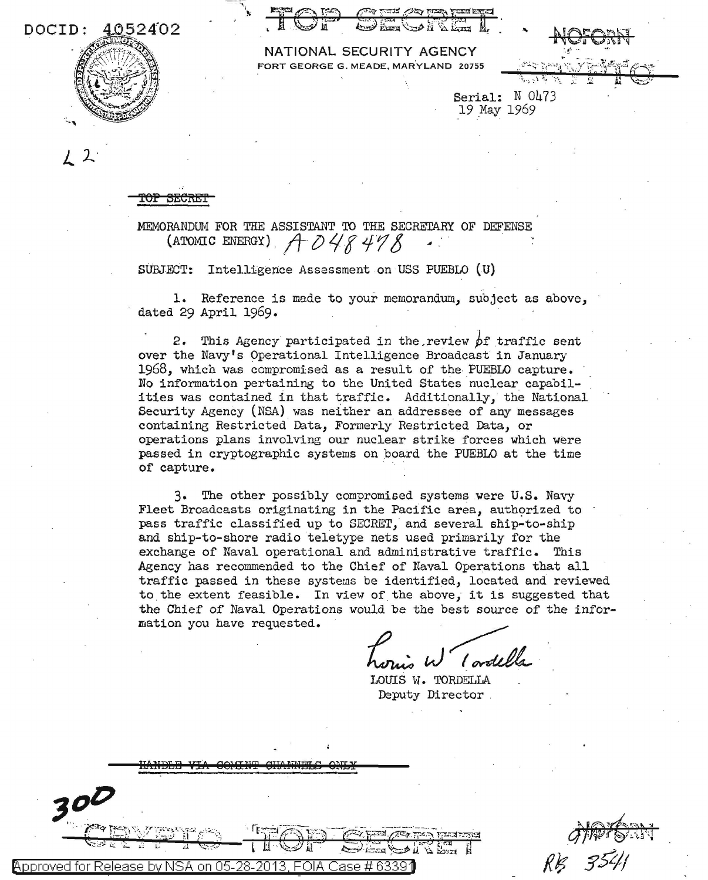DOCID: 4052402



|  | <b>INATIONAL SECURIT AGENCI</b>      |  |  |
|--|--------------------------------------|--|--|
|  | FORT GEORGE G. MEADE, MARYLAND 20755 |  |  |

Serial: N 0473 19 May 1969

**SECRE** 

MEMORANDUM FOR THE ASSISTANT TO THE SECRETARY OF DEFENSE (ATOMIC ENERGY)  $A$  048478

SUBJECT: Intelligence Assessment on USS PUEBLO (U)

1. Reference is made to your memorandum, subject as above, dated 29 April 1969.

2. This Agency participated in the review of traffic sent over the Navy's Operational Intelligence Broadcast in January 1968, which was compromised as a result of the PUEBLO capture. No information pertaining to the United States nuclear capabilities was contained in that traffic. Additionally, the National Security Agency (NSA) was neither an addressee of any messages containing Restricted Data, Formerly Restricted Data, or operations plans involving our nuclear strike forces which were passed in cryptographic systems on board the PUEBLO at the time of capture.

3. The other possibly compromised systems were U.S. Navy Fleet Broadcasts originating in the Pacific area, authorized to pass traffic classified up to SECRET, and several ship-to-ship and ship-to-shore radio teletype nets used primarily for the exchange of Naval operational and administrative traffic. This Agency has recommended to the Chief of Naval Operations that all traffic passed in these systems be identified, located and reviewed to the extent feasible. In view of the above, it is suggested that the Chief of Naval Operations would be the best source of the information you have requested.

LOUIS W. TORDELLA Deputy Director